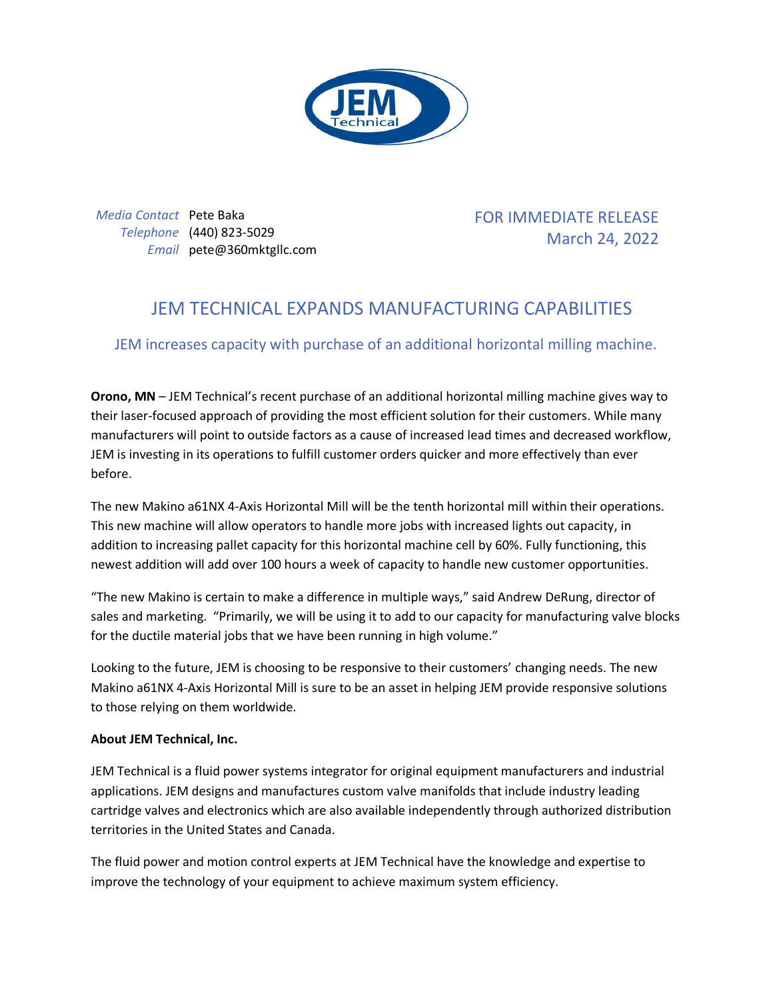

*Media Contact* Pete Baka *Telephone* (440) 823-5029 *Email* pete@360mktgllc.com FOR IMMEDIATE RELEASE March 24, 2022

## JEM TECHNICAL EXPANDS MANUFACTURING CAPABILITIES

JEM increases capacity with purchase of an additional horizontal milling machine.

**Orono, MN** – JEM Technical's recent purchase of an additional horizontal milling machine gives way to their laser-focused approach of providing the most efficient solution for their customers. While many manufacturers will point to outside factors as a cause of increased lead times and decreased workflow, JEM is investing in its operations to fulfill customer orders quicker and more effectively than ever before.

The new Makino a61NX 4-Axis Horizontal Mill will be the tenth horizontal mill within their operations. This new machine will allow operators to handle more jobs with increased lights out capacity, in addition to increasing pallet capacity for this horizontal machine cell by 60%. Fully functioning, this newest addition will add over 100 hours a week of capacity to handle new customer opportunities.

"The new Makino is certain to make a difference in multiple ways," said Andrew DeRung, director of sales and marketing. "Primarily, we will be using it to add to our capacity for manufacturing valve blocks for the ductile material jobs that we have been running in high volume."

Looking to the future, JEM is choosing to be responsive to their customers' changing needs. The new Makino a61NX 4-Axis Horizontal Mill is sure to be an asset in helping JEM provide responsive solutions to those relying on them worldwide.

## **About JEM Technical, Inc.**

JEM Technical is a fluid power systems integrator for original equipment manufacturers and industrial applications. JEM designs and manufactures custom valve manifolds that include industry leading cartridge valves and electronics which are also available independently through authorized distribution territories in the United States and Canada.

The fluid power and motion control experts at JEM Technical have the knowledge and expertise to improve the technology of your equipment to achieve maximum system efficiency.